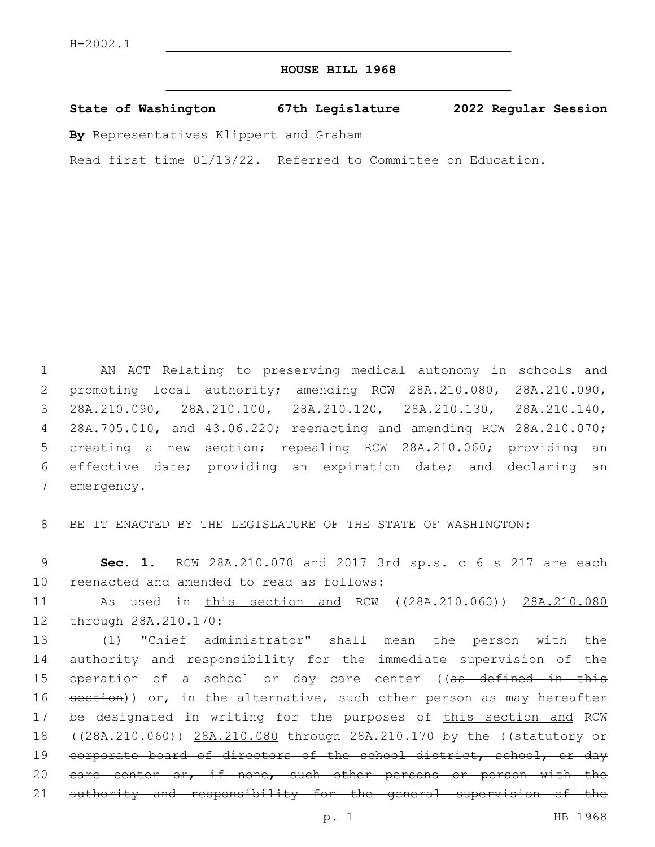# **HOUSE BILL 1968**

**State of Washington 67th Legislature 2022 Regular Session**

**By** Representatives Klippert and Graham

Read first time 01/13/22. Referred to Committee on Education.

 AN ACT Relating to preserving medical autonomy in schools and promoting local authority; amending RCW 28A.210.080, 28A.210.090, 28A.210.090, 28A.210.100, 28A.210.120, 28A.210.130, 28A.210.140, 28A.705.010, and 43.06.220; reenacting and amending RCW 28A.210.070; creating a new section; repealing RCW 28A.210.060; providing an effective date; providing an expiration date; and declaring an 7 emergency.

8 BE IT ENACTED BY THE LEGISLATURE OF THE STATE OF WASHINGTON:

9 **Sec. 1.** RCW 28A.210.070 and 2017 3rd sp.s. c 6 s 217 are each 10 reenacted and amended to read as follows:

11 As used in this section and RCW ((28A.210.060)) 28A.210.080 12 through 28A.210.170:

13 (1) "Chief administrator" shall mean the person with the 14 authority and responsibility for the immediate supervision of the 15 operation of a school or day care center ((as defined in this 16 section)) or, in the alternative, such other person as may hereafter 17 be designated in writing for the purposes of this section and RCW 18 ((28A.210.060)) 28A.210.080 through 28A.210.170 by the ((statutory or 19 corporate board of directors of the school district, school, or day 20 eare center or, if none, such other persons or person with the 21 authority and responsibility for the general supervision of the

p. 1 HB 1968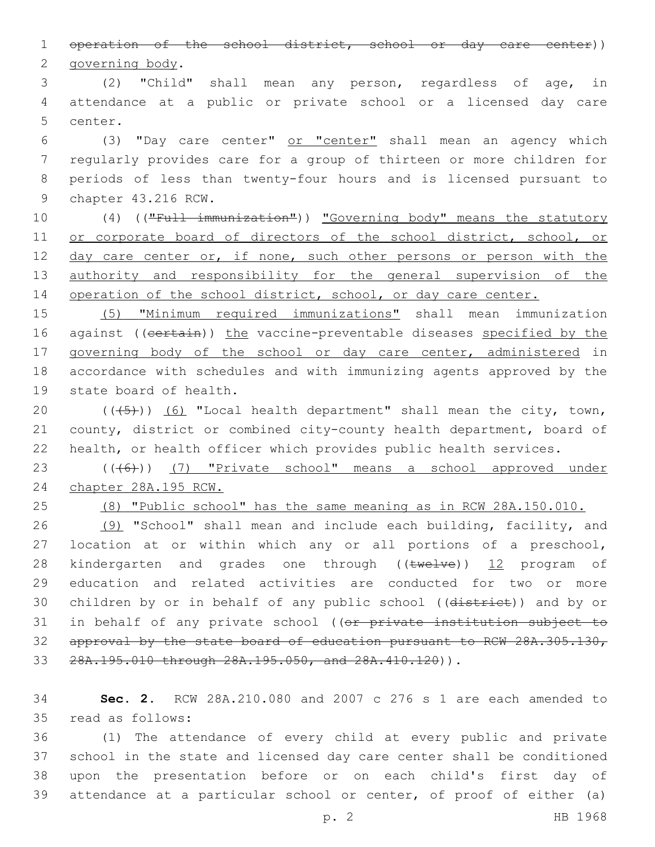1 operation of the school district, school or day care center)) 2 governing body.

3 (2) "Child" shall mean any person, regardless of age, in 4 attendance at a public or private school or a licensed day care 5 center.

 (3) "Day care center" or "center" shall mean an agency which regularly provides care for a group of thirteen or more children for periods of less than twenty-four hours and is licensed pursuant to 9 chapter 43.216 RCW.

10 (4) (("Full immunization")) "Governing body" means the statutory 11 or corporate board of directors of the school district, school, or 12 day care center or, if none, such other persons or person with the 13 authority and responsibility for the general supervision of the 14 operation of the school district, school, or day care center.

15 (5) "Minimum required immunizations" shall mean immunization 16 against ((certain)) the vaccine-preventable diseases specified by the 17 governing body of the school or day care center, administered in 18 accordance with schedules and with immunizing agents approved by the 19 state board of health.

20  $((+5+))$   $(6)$  "Local health department" shall mean the city, town, 21 county, district or combined city-county health department, board of 22 health, or health officer which provides public health services.

23 (((6)) (7) "Private school" means a school approved under 24 chapter 28A.195 RCW.

25 (8) "Public school" has the same meaning as in RCW 28A.150.010.

26 (9) "School" shall mean and include each building, facility, and 27 location at or within which any or all portions of a preschool, 28 kindergarten and grades one through ((twelve)) 12 program of 29 education and related activities are conducted for two or more 30 children by or in behalf of any public school ((district)) and by or 31 in behalf of any private school ((or private institution subject to 32 approval by the state board of education pursuant to RCW 28A.305.130, 33 28A.195.010 through 28A.195.050, and 28A.410.120)).

34 **Sec. 2.** RCW 28A.210.080 and 2007 c 276 s 1 are each amended to read as follows:35

 (1) The attendance of every child at every public and private school in the state and licensed day care center shall be conditioned upon the presentation before or on each child's first day of attendance at a particular school or center, of proof of either (a)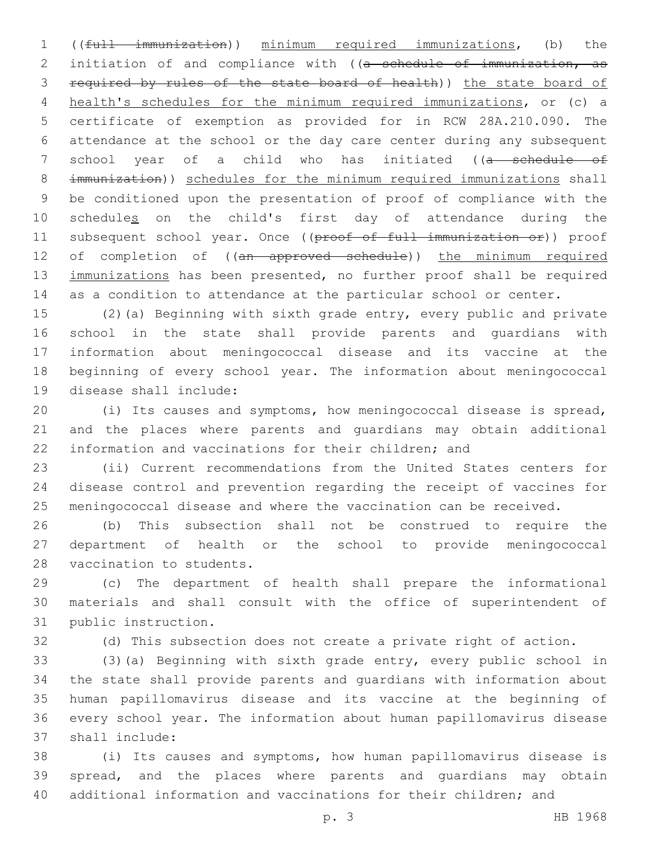((full immunization)) minimum required immunizations, (b) the 2 initiation of and compliance with ((a schedule of immunization, as required by rules of the state board of health)) the state board of health's schedules for the minimum required immunizations, or (c) a certificate of exemption as provided for in RCW 28A.210.090. The attendance at the school or the day care center during any subsequent 7 school year of a child who has initiated ((a schedule of immunization)) schedules for the minimum required immunizations shall be conditioned upon the presentation of proof of compliance with the 10 schedules on the child's first day of attendance during the 11 subsequent school year. Once ((proof of full immunization or)) proof 12 of completion of ((an approved schedule)) the minimum required 13 immunizations has been presented, no further proof shall be required as a condition to attendance at the particular school or center.

 (2)(a) Beginning with sixth grade entry, every public and private school in the state shall provide parents and guardians with information about meningococcal disease and its vaccine at the beginning of every school year. The information about meningococcal 19 disease shall include:

 (i) Its causes and symptoms, how meningococcal disease is spread, and the places where parents and guardians may obtain additional information and vaccinations for their children; and

 (ii) Current recommendations from the United States centers for disease control and prevention regarding the receipt of vaccines for meningococcal disease and where the vaccination can be received.

 (b) This subsection shall not be construed to require the department of health or the school to provide meningococcal 28 vaccination to students.

 (c) The department of health shall prepare the informational materials and shall consult with the office of superintendent of 31 public instruction.

(d) This subsection does not create a private right of action.

 (3)(a) Beginning with sixth grade entry, every public school in the state shall provide parents and guardians with information about human papillomavirus disease and its vaccine at the beginning of every school year. The information about human papillomavirus disease shall include:37

 (i) Its causes and symptoms, how human papillomavirus disease is spread, and the places where parents and guardians may obtain additional information and vaccinations for their children; and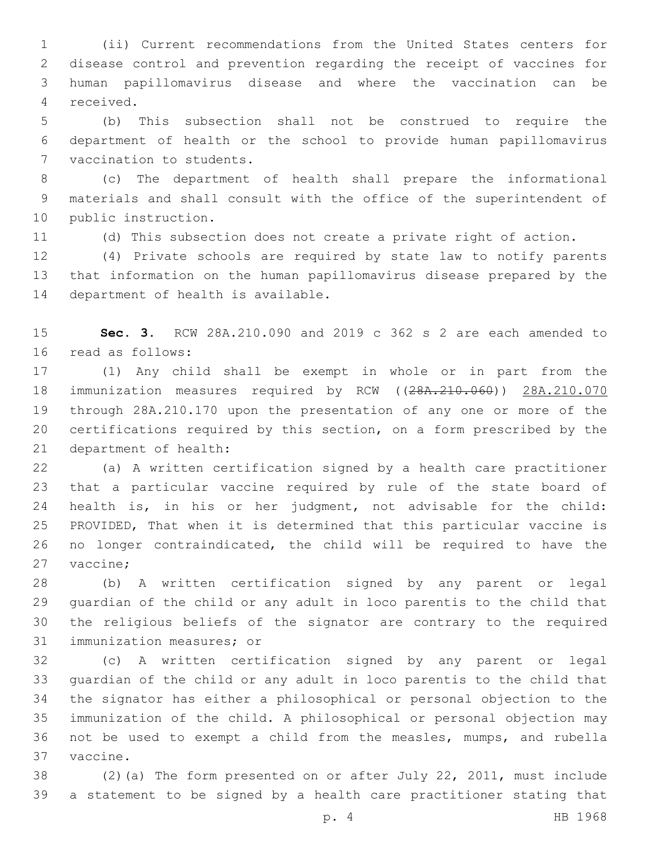(ii) Current recommendations from the United States centers for disease control and prevention regarding the receipt of vaccines for human papillomavirus disease and where the vaccination can be 4 received.

 (b) This subsection shall not be construed to require the department of health or the school to provide human papillomavirus 7 vaccination to students.

 (c) The department of health shall prepare the informational materials and shall consult with the office of the superintendent of 10 public instruction.

(d) This subsection does not create a private right of action.

 (4) Private schools are required by state law to notify parents that information on the human papillomavirus disease prepared by the 14 department of health is available.

 **Sec. 3.** RCW 28A.210.090 and 2019 c 362 s 2 are each amended to 16 read as follows:

 (1) Any child shall be exempt in whole or in part from the 18 immunization measures required by RCW ((28A.210.060)) 28A.210.070 through 28A.210.170 upon the presentation of any one or more of the certifications required by this section, on a form prescribed by the 21 department of health:

 (a) A written certification signed by a health care practitioner that a particular vaccine required by rule of the state board of health is, in his or her judgment, not advisable for the child: PROVIDED, That when it is determined that this particular vaccine is no longer contraindicated, the child will be required to have the 27 vaccine;

 (b) A written certification signed by any parent or legal guardian of the child or any adult in loco parentis to the child that the religious beliefs of the signator are contrary to the required 31 immunization measures; or

 (c) A written certification signed by any parent or legal guardian of the child or any adult in loco parentis to the child that the signator has either a philosophical or personal objection to the immunization of the child. A philosophical or personal objection may not be used to exempt a child from the measles, mumps, and rubella 37 vaccine.

 (2)(a) The form presented on or after July 22, 2011, must include a statement to be signed by a health care practitioner stating that

p. 4 HB 1968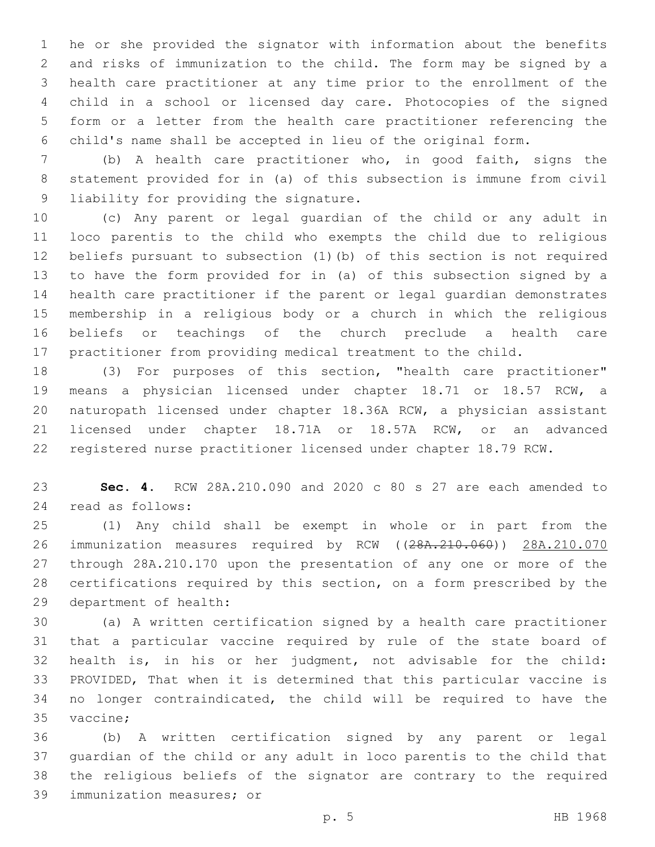he or she provided the signator with information about the benefits and risks of immunization to the child. The form may be signed by a health care practitioner at any time prior to the enrollment of the child in a school or licensed day care. Photocopies of the signed form or a letter from the health care practitioner referencing the child's name shall be accepted in lieu of the original form.

 (b) A health care practitioner who, in good faith, signs the statement provided for in (a) of this subsection is immune from civil 9 liability for providing the signature.

 (c) Any parent or legal guardian of the child or any adult in loco parentis to the child who exempts the child due to religious beliefs pursuant to subsection (1)(b) of this section is not required to have the form provided for in (a) of this subsection signed by a health care practitioner if the parent or legal guardian demonstrates membership in a religious body or a church in which the religious beliefs or teachings of the church preclude a health care practitioner from providing medical treatment to the child.

 (3) For purposes of this section, "health care practitioner" means a physician licensed under chapter 18.71 or 18.57 RCW, a naturopath licensed under chapter 18.36A RCW, a physician assistant licensed under chapter 18.71A or 18.57A RCW, or an advanced registered nurse practitioner licensed under chapter 18.79 RCW.

 **Sec. 4.** RCW 28A.210.090 and 2020 c 80 s 27 are each amended to read as follows:24

 (1) Any child shall be exempt in whole or in part from the 26 immunization measures required by RCW ((28A.210.060)) 28A.210.070 through 28A.210.170 upon the presentation of any one or more of the certifications required by this section, on a form prescribed by the 29 department of health:

 (a) A written certification signed by a health care practitioner that a particular vaccine required by rule of the state board of health is, in his or her judgment, not advisable for the child: PROVIDED, That when it is determined that this particular vaccine is no longer contraindicated, the child will be required to have the 35 vaccine;

 (b) A written certification signed by any parent or legal guardian of the child or any adult in loco parentis to the child that the religious beliefs of the signator are contrary to the required 39 immunization measures; or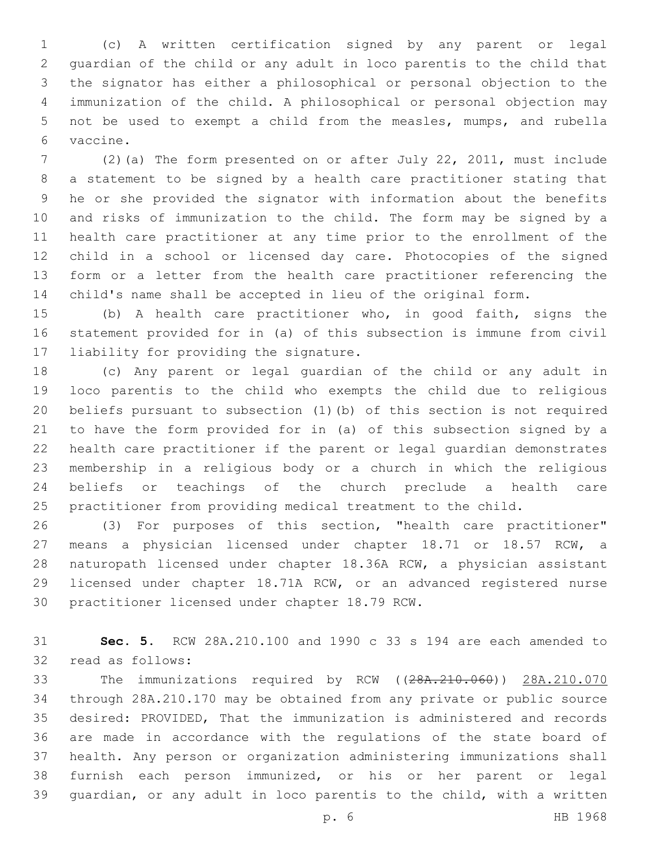(c) A written certification signed by any parent or legal guardian of the child or any adult in loco parentis to the child that the signator has either a philosophical or personal objection to the immunization of the child. A philosophical or personal objection may not be used to exempt a child from the measles, mumps, and rubella vaccine.6

 (2)(a) The form presented on or after July 22, 2011, must include a statement to be signed by a health care practitioner stating that he or she provided the signator with information about the benefits and risks of immunization to the child. The form may be signed by a health care practitioner at any time prior to the enrollment of the child in a school or licensed day care. Photocopies of the signed form or a letter from the health care practitioner referencing the child's name shall be accepted in lieu of the original form.

 (b) A health care practitioner who, in good faith, signs the statement provided for in (a) of this subsection is immune from civil 17 liability for providing the signature.

 (c) Any parent or legal guardian of the child or any adult in loco parentis to the child who exempts the child due to religious beliefs pursuant to subsection (1)(b) of this section is not required to have the form provided for in (a) of this subsection signed by a health care practitioner if the parent or legal guardian demonstrates membership in a religious body or a church in which the religious beliefs or teachings of the church preclude a health care practitioner from providing medical treatment to the child.

 (3) For purposes of this section, "health care practitioner" means a physician licensed under chapter 18.71 or 18.57 RCW, a naturopath licensed under chapter 18.36A RCW, a physician assistant licensed under chapter 18.71A RCW, or an advanced registered nurse 30 practitioner licensed under chapter 18.79 RCW.

 **Sec. 5.** RCW 28A.210.100 and 1990 c 33 s 194 are each amended to 32 read as follows:

 The immunizations required by RCW ((28A.210.060)) 28A.210.070 through 28A.210.170 may be obtained from any private or public source desired: PROVIDED, That the immunization is administered and records are made in accordance with the regulations of the state board of health. Any person or organization administering immunizations shall furnish each person immunized, or his or her parent or legal guardian, or any adult in loco parentis to the child, with a written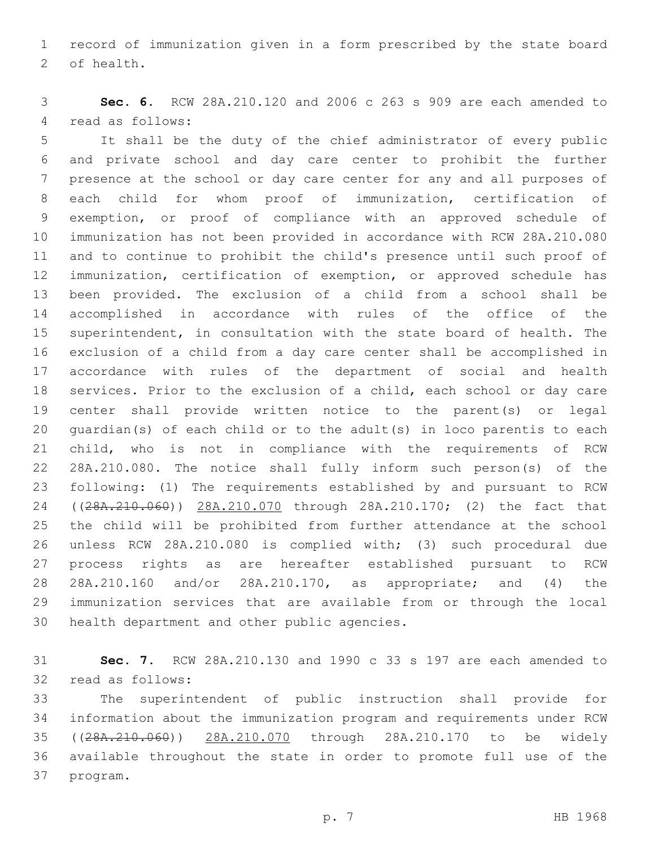record of immunization given in a form prescribed by the state board 2 of health.

 **Sec. 6.** RCW 28A.210.120 and 2006 c 263 s 909 are each amended to 4 read as follows:

 It shall be the duty of the chief administrator of every public and private school and day care center to prohibit the further presence at the school or day care center for any and all purposes of each child for whom proof of immunization, certification of exemption, or proof of compliance with an approved schedule of immunization has not been provided in accordance with RCW 28A.210.080 and to continue to prohibit the child's presence until such proof of immunization, certification of exemption, or approved schedule has been provided. The exclusion of a child from a school shall be accomplished in accordance with rules of the office of the superintendent, in consultation with the state board of health. The exclusion of a child from a day care center shall be accomplished in accordance with rules of the department of social and health services. Prior to the exclusion of a child, each school or day care center shall provide written notice to the parent(s) or legal guardian(s) of each child or to the adult(s) in loco parentis to each child, who is not in compliance with the requirements of RCW 28A.210.080. The notice shall fully inform such person(s) of the following: (1) The requirements established by and pursuant to RCW 24 ((28A. 210. 060)) 28A. 210. 070 through 28A. 210. 170; (2) the fact that the child will be prohibited from further attendance at the school unless RCW 28A.210.080 is complied with; (3) such procedural due process rights as are hereafter established pursuant to RCW 28A.210.160 and/or 28A.210.170, as appropriate; and (4) the immunization services that are available from or through the local 30 health department and other public agencies.

 **Sec. 7.** RCW 28A.210.130 and 1990 c 33 s 197 are each amended to 32 read as follows:

 The superintendent of public instruction shall provide for information about the immunization program and requirements under RCW ((28A.210.060)) 28A.210.070 through 28A.210.170 to be widely available throughout the state in order to promote full use of the 37 program.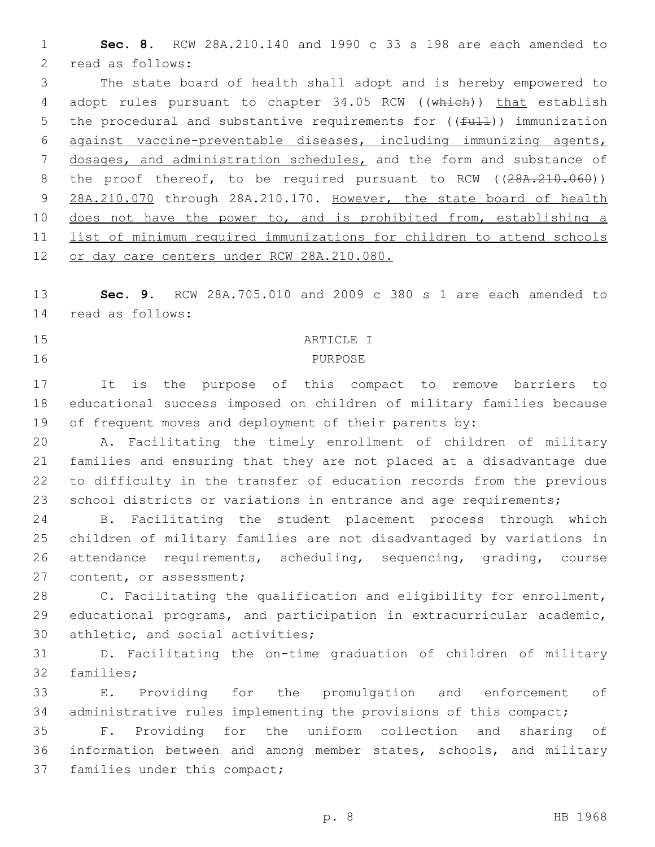1 **Sec. 8.** RCW 28A.210.140 and 1990 c 33 s 198 are each amended to 2 read as follows:

3 The state board of health shall adopt and is hereby empowered to 4 adopt rules pursuant to chapter 34.05 RCW ((which)) that establish 5 the procedural and substantive requirements for  $((\text{full}))$  immunization 6 against vaccine-preventable diseases, including immunizing agents, 7 dosages, and administration schedules, and the form and substance of 8 the proof thereof, to be required pursuant to RCW ((28A.210.060)) 9 28A.210.070 through 28A.210.170. However, the state board of health 10 does not have the power to, and is prohibited from, establishing a 11 list of minimum required immunizations for children to attend schools 12 or day care centers under RCW 28A.210.080.

13 **Sec. 9.** RCW 28A.705.010 and 2009 c 380 s 1 are each amended to 14 read as follows:

#### 15 ARTICLE I

## 16 PURPOSE

17 It is the purpose of this compact to remove barriers to 18 educational success imposed on children of military families because 19 of frequent moves and deployment of their parents by:

 A. Facilitating the timely enrollment of children of military families and ensuring that they are not placed at a disadvantage due to difficulty in the transfer of education records from the previous 23 school districts or variations in entrance and age requirements;

 B. Facilitating the student placement process through which children of military families are not disadvantaged by variations in attendance requirements, scheduling, sequencing, grading, course 27 content, or assessment;

28 C. Facilitating the qualification and eligibility for enrollment, 29 educational programs, and participation in extracurricular academic, 30 athletic, and social activities;

31 D. Facilitating the on-time graduation of children of military 32 families;

33 E. Providing for the promulgation and enforcement of 34 administrative rules implementing the provisions of this compact;

35 F. Providing for the uniform collection and sharing of 36 information between and among member states, schools, and military 37 families under this compact;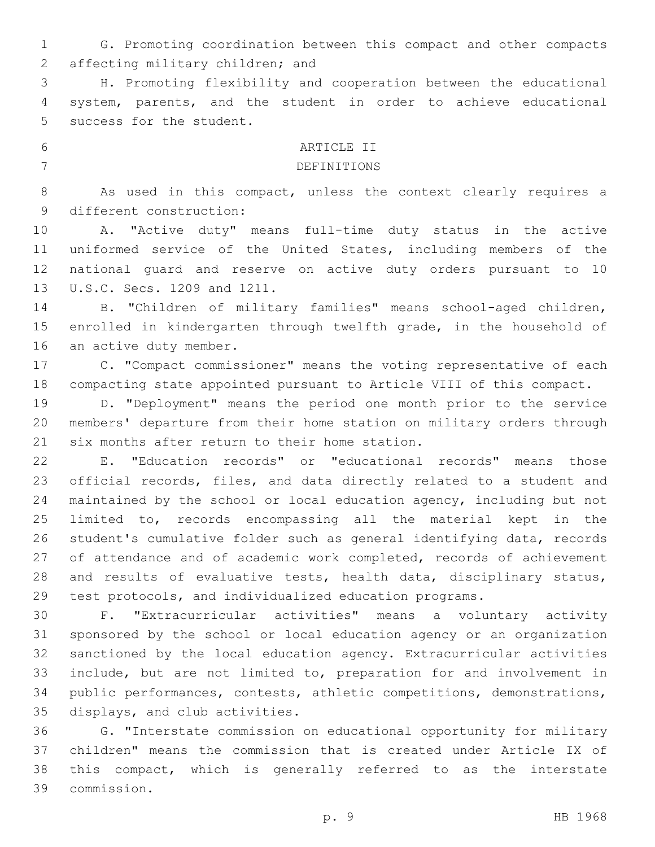G. Promoting coordination between this compact and other compacts 2 affecting military children; and

 H. Promoting flexibility and cooperation between the educational system, parents, and the student in order to achieve educational 5 success for the student.

# 6 ARTICLE II 7 DEFINITIONS

 As used in this compact, unless the context clearly requires a 9 different construction:

 A. "Active duty" means full-time duty status in the active uniformed service of the United States, including members of the national guard and reserve on active duty orders pursuant to 10 13 U.S.C. Secs. 1209 and 1211.

 B. "Children of military families" means school-aged children, enrolled in kindergarten through twelfth grade, in the household of 16 an active duty member.

 C. "Compact commissioner" means the voting representative of each compacting state appointed pursuant to Article VIII of this compact.

 D. "Deployment" means the period one month prior to the service members' departure from their home station on military orders through 21 six months after return to their home station.

 E. "Education records" or "educational records" means those official records, files, and data directly related to a student and maintained by the school or local education agency, including but not limited to, records encompassing all the material kept in the student's cumulative folder such as general identifying data, records 27 of attendance and of academic work completed, records of achievement and results of evaluative tests, health data, disciplinary status, test protocols, and individualized education programs.

 F. "Extracurricular activities" means a voluntary activity sponsored by the school or local education agency or an organization sanctioned by the local education agency. Extracurricular activities include, but are not limited to, preparation for and involvement in public performances, contests, athletic competitions, demonstrations, 35 displays, and club activities.

 G. "Interstate commission on educational opportunity for military children" means the commission that is created under Article IX of this compact, which is generally referred to as the interstate commission.39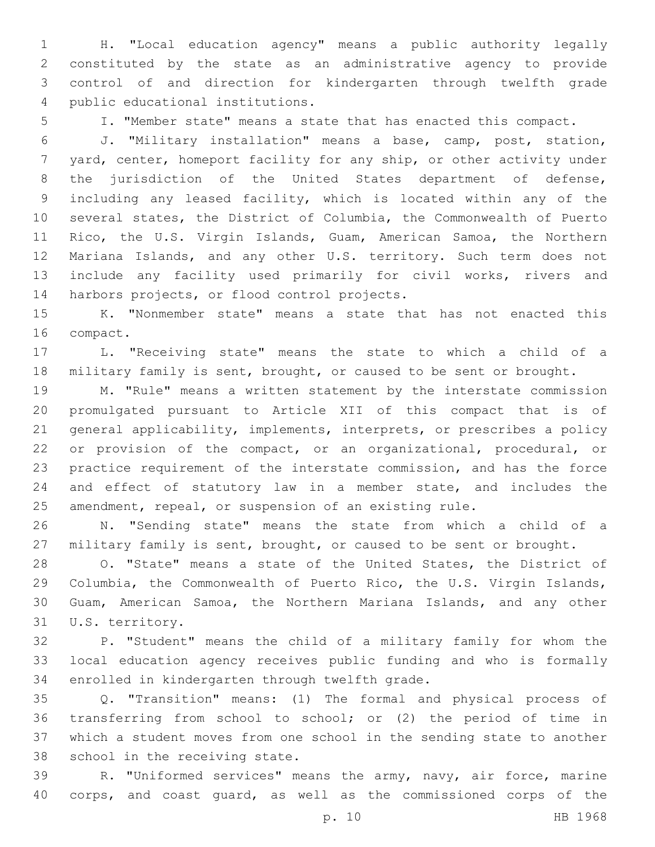H. "Local education agency" means a public authority legally constituted by the state as an administrative agency to provide control of and direction for kindergarten through twelfth grade public educational institutions.4

I. "Member state" means a state that has enacted this compact.

 J. "Military installation" means a base, camp, post, station, yard, center, homeport facility for any ship, or other activity under the jurisdiction of the United States department of defense, including any leased facility, which is located within any of the several states, the District of Columbia, the Commonwealth of Puerto Rico, the U.S. Virgin Islands, Guam, American Samoa, the Northern Mariana Islands, and any other U.S. territory. Such term does not include any facility used primarily for civil works, rivers and 14 harbors projects, or flood control projects.

 K. "Nonmember state" means a state that has not enacted this 16 compact.

 L. "Receiving state" means the state to which a child of a military family is sent, brought, or caused to be sent or brought.

 M. "Rule" means a written statement by the interstate commission promulgated pursuant to Article XII of this compact that is of general applicability, implements, interprets, or prescribes a policy or provision of the compact, or an organizational, procedural, or practice requirement of the interstate commission, and has the force and effect of statutory law in a member state, and includes the amendment, repeal, or suspension of an existing rule.

 N. "Sending state" means the state from which a child of a military family is sent, brought, or caused to be sent or brought.

 O. "State" means a state of the United States, the District of Columbia, the Commonwealth of Puerto Rico, the U.S. Virgin Islands, Guam, American Samoa, the Northern Mariana Islands, and any other 31 U.S. territory.

 P. "Student" means the child of a military family for whom the local education agency receives public funding and who is formally 34 enrolled in kindergarten through twelfth grade.

 Q. "Transition" means: (1) The formal and physical process of transferring from school to school; or (2) the period of time in which a student moves from one school in the sending state to another 38 school in the receiving state.

 R. "Uniformed services" means the army, navy, air force, marine corps, and coast guard, as well as the commissioned corps of the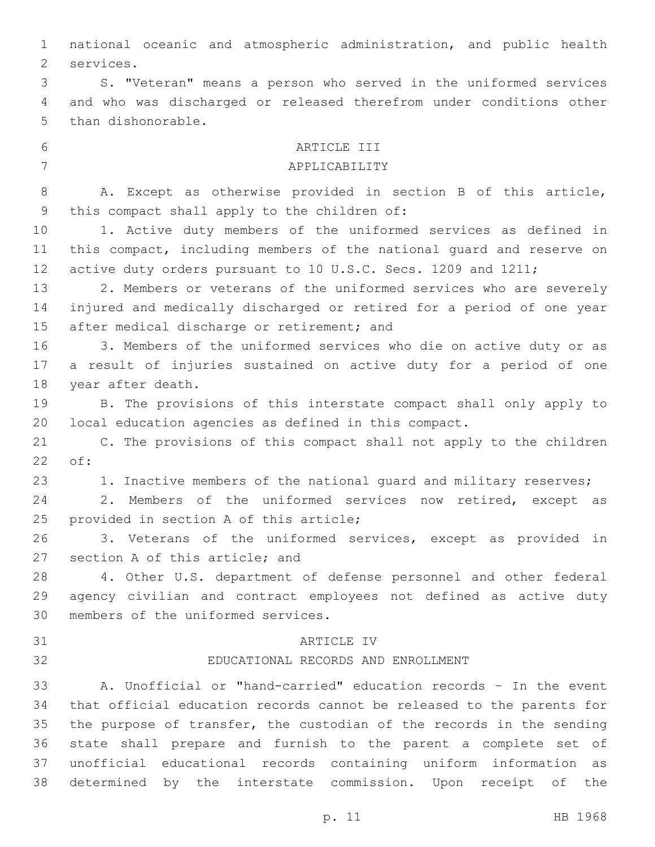national oceanic and atmospheric administration, and public health 2 services.

 S. "Veteran" means a person who served in the uniformed services and who was discharged or released therefrom under conditions other 5 than dishonorable.

# 6 ARTICLE III

# 7 APPLICABILITY

 A. Except as otherwise provided in section B of this article, 9 this compact shall apply to the children of:

 1. Active duty members of the uniformed services as defined in this compact, including members of the national guard and reserve on 12 active duty orders pursuant to 10 U.S.C. Secs. 1209 and 1211;

 2. Members or veterans of the uniformed services who are severely injured and medically discharged or retired for a period of one year 15 after medical discharge or retirement; and

 3. Members of the uniformed services who die on active duty or as a result of injuries sustained on active duty for a period of one 18 year after death.

 B. The provisions of this interstate compact shall only apply to local education agencies as defined in this compact.

 C. The provisions of this compact shall not apply to the children 22 of:

23 1. Inactive members of the national quard and military reserves;

 2. Members of the uniformed services now retired, except as 25 provided in section A of this article;

 3. Veterans of the uniformed services, except as provided in 27 section A of this article; and

 4. Other U.S. department of defense personnel and other federal agency civilian and contract employees not defined as active duty 30 members of the uniformed services.

## 31 ARTICLE IV

# EDUCATIONAL RECORDS AND ENROLLMENT

 A. Unofficial or "hand-carried" education records – In the event that official education records cannot be released to the parents for the purpose of transfer, the custodian of the records in the sending state shall prepare and furnish to the parent a complete set of unofficial educational records containing uniform information as determined by the interstate commission. Upon receipt of the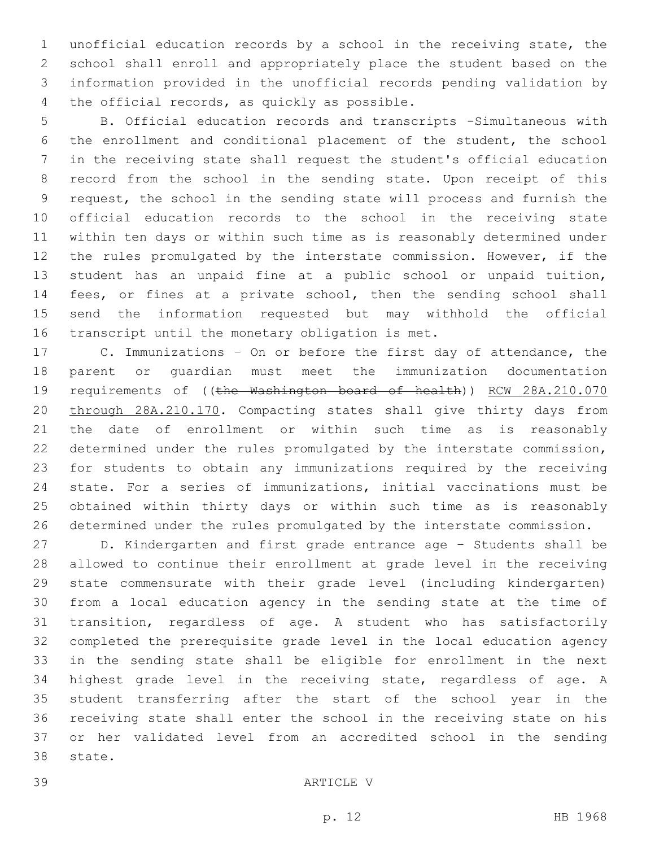unofficial education records by a school in the receiving state, the school shall enroll and appropriately place the student based on the information provided in the unofficial records pending validation by 4 the official records, as quickly as possible.

 B. Official education records and transcripts -Simultaneous with the enrollment and conditional placement of the student, the school in the receiving state shall request the student's official education record from the school in the sending state. Upon receipt of this request, the school in the sending state will process and furnish the official education records to the school in the receiving state within ten days or within such time as is reasonably determined under the rules promulgated by the interstate commission. However, if the student has an unpaid fine at a public school or unpaid tuition, 14 fees, or fines at a private school, then the sending school shall send the information requested but may withhold the official 16 transcript until the monetary obligation is met.

 C. Immunizations – On or before the first day of attendance, the parent or guardian must meet the immunization documentation requirements of ((the Washington board of health)) RCW 28A.210.070 through 28A.210.170. Compacting states shall give thirty days from the date of enrollment or within such time as is reasonably determined under the rules promulgated by the interstate commission, for students to obtain any immunizations required by the receiving state. For a series of immunizations, initial vaccinations must be obtained within thirty days or within such time as is reasonably determined under the rules promulgated by the interstate commission.

 D. Kindergarten and first grade entrance age – Students shall be allowed to continue their enrollment at grade level in the receiving state commensurate with their grade level (including kindergarten) from a local education agency in the sending state at the time of transition, regardless of age. A student who has satisfactorily completed the prerequisite grade level in the local education agency in the sending state shall be eligible for enrollment in the next highest grade level in the receiving state, regardless of age. A student transferring after the start of the school year in the receiving state shall enter the school in the receiving state on his or her validated level from an accredited school in the sending 38 state.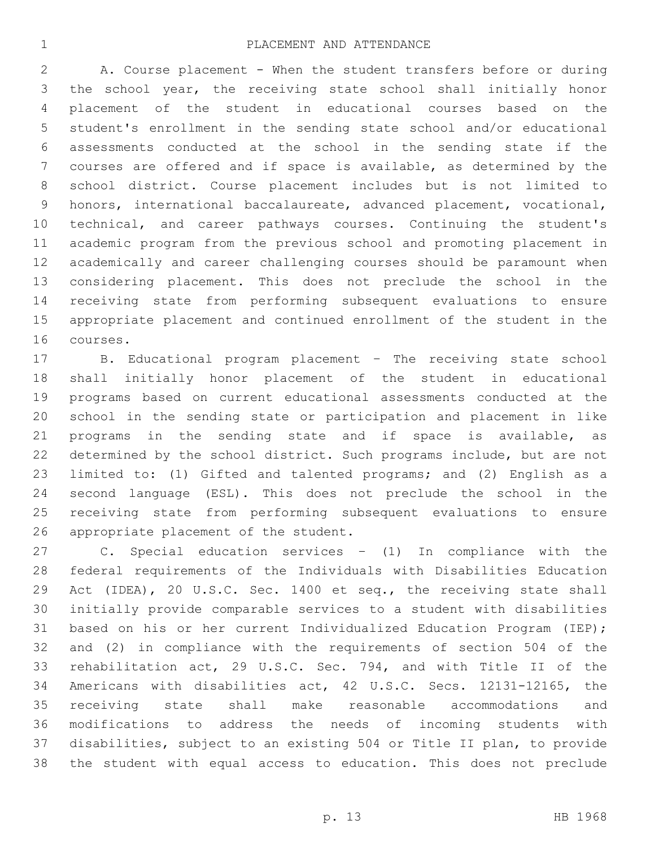A. Course placement - When the student transfers before or during the school year, the receiving state school shall initially honor placement of the student in educational courses based on the student's enrollment in the sending state school and/or educational assessments conducted at the school in the sending state if the courses are offered and if space is available, as determined by the school district. Course placement includes but is not limited to honors, international baccalaureate, advanced placement, vocational, technical, and career pathways courses. Continuing the student's academic program from the previous school and promoting placement in academically and career challenging courses should be paramount when considering placement. This does not preclude the school in the receiving state from performing subsequent evaluations to ensure appropriate placement and continued enrollment of the student in the 16 courses.

 B. Educational program placement – The receiving state school shall initially honor placement of the student in educational programs based on current educational assessments conducted at the school in the sending state or participation and placement in like 21 programs in the sending state and if space is available, as determined by the school district. Such programs include, but are not limited to: (1) Gifted and talented programs; and (2) English as a second language (ESL). This does not preclude the school in the receiving state from performing subsequent evaluations to ensure 26 appropriate placement of the student.

 C. Special education services – (1) In compliance with the federal requirements of the Individuals with Disabilities Education 29 Act (IDEA), 20 U.S.C. Sec. 1400 et seq., the receiving state shall initially provide comparable services to a student with disabilities based on his or her current Individualized Education Program (IEP); and (2) in compliance with the requirements of section 504 of the rehabilitation act, 29 U.S.C. Sec. 794, and with Title II of the Americans with disabilities act, 42 U.S.C. Secs. 12131-12165, the receiving state shall make reasonable accommodations and modifications to address the needs of incoming students with disabilities, subject to an existing 504 or Title II plan, to provide the student with equal access to education. This does not preclude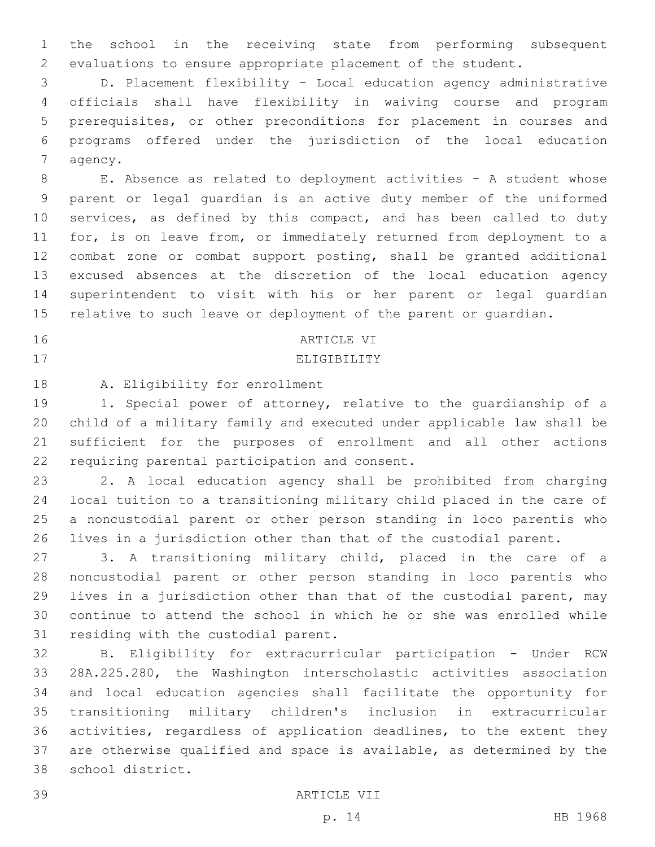the school in the receiving state from performing subsequent evaluations to ensure appropriate placement of the student.

 D. Placement flexibility – Local education agency administrative officials shall have flexibility in waiving course and program prerequisites, or other preconditions for placement in courses and programs offered under the jurisdiction of the local education 7 agency.

 E. Absence as related to deployment activities – A student whose parent or legal guardian is an active duty member of the uniformed 10 services, as defined by this compact, and has been called to duty for, is on leave from, or immediately returned from deployment to a combat zone or combat support posting, shall be granted additional excused absences at the discretion of the local education agency superintendent to visit with his or her parent or legal guardian relative to such leave or deployment of the parent or guardian.

## 16 ARTICLE VI

# 17 ELIGIBILITY

18 A. Eligibility for enrollment

 1. Special power of attorney, relative to the guardianship of a child of a military family and executed under applicable law shall be sufficient for the purposes of enrollment and all other actions 22 requiring parental participation and consent.

 2. A local education agency shall be prohibited from charging local tuition to a transitioning military child placed in the care of a noncustodial parent or other person standing in loco parentis who lives in a jurisdiction other than that of the custodial parent.

 3. A transitioning military child, placed in the care of a noncustodial parent or other person standing in loco parentis who lives in a jurisdiction other than that of the custodial parent, may continue to attend the school in which he or she was enrolled while 31 residing with the custodial parent.

 B. Eligibility for extracurricular participation - Under RCW 28A.225.280, the Washington interscholastic activities association and local education agencies shall facilitate the opportunity for transitioning military children's inclusion in extracurricular activities, regardless of application deadlines, to the extent they are otherwise qualified and space is available, as determined by the 38 school district.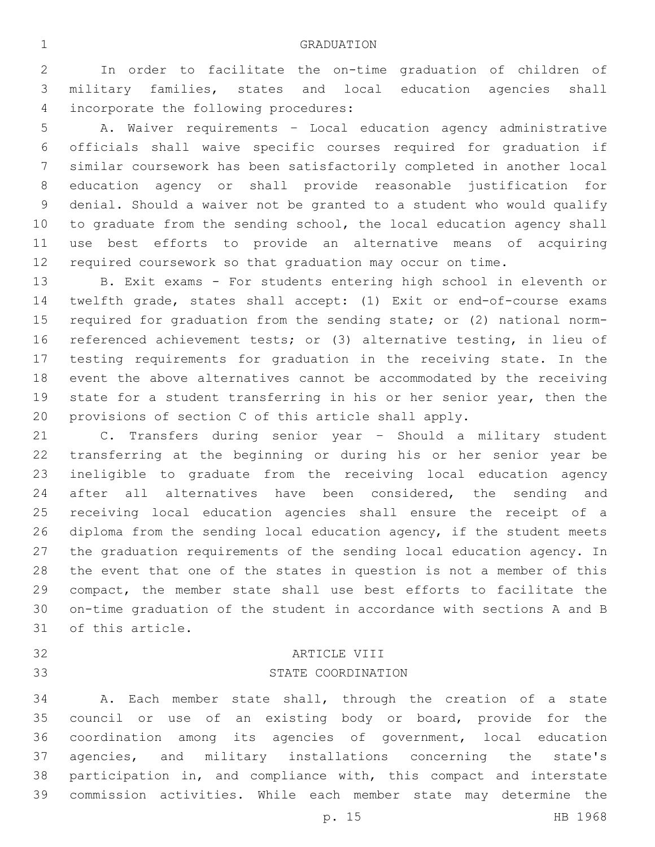In order to facilitate the on-time graduation of children of military families, states and local education agencies shall 4 incorporate the following procedures:

 A. Waiver requirements – Local education agency administrative officials shall waive specific courses required for graduation if similar coursework has been satisfactorily completed in another local education agency or shall provide reasonable justification for denial. Should a waiver not be granted to a student who would qualify 10 to graduate from the sending school, the local education agency shall use best efforts to provide an alternative means of acquiring required coursework so that graduation may occur on time.

 B. Exit exams - For students entering high school in eleventh or twelfth grade, states shall accept: (1) Exit or end-of-course exams required for graduation from the sending state; or (2) national norm- referenced achievement tests; or (3) alternative testing, in lieu of testing requirements for graduation in the receiving state. In the event the above alternatives cannot be accommodated by the receiving state for a student transferring in his or her senior year, then the provisions of section C of this article shall apply.

 C. Transfers during senior year – Should a military student transferring at the beginning or during his or her senior year be ineligible to graduate from the receiving local education agency after all alternatives have been considered, the sending and receiving local education agencies shall ensure the receipt of a diploma from the sending local education agency, if the student meets the graduation requirements of the sending local education agency. In the event that one of the states in question is not a member of this compact, the member state shall use best efforts to facilitate the on-time graduation of the student in accordance with sections A and B 31 of this article.

# 32 ARTICLE VIII 33 STATE COORDINATION

 A. Each member state shall, through the creation of a state council or use of an existing body or board, provide for the coordination among its agencies of government, local education agencies, and military installations concerning the state's participation in, and compliance with, this compact and interstate commission activities. While each member state may determine the

p. 15 HB 1968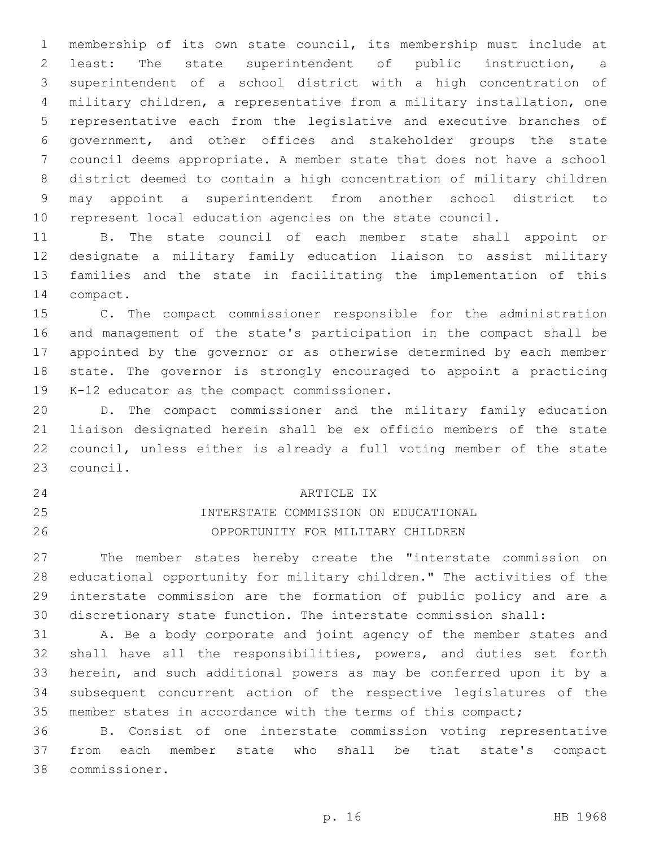membership of its own state council, its membership must include at least: The state superintendent of public instruction, a superintendent of a school district with a high concentration of military children, a representative from a military installation, one representative each from the legislative and executive branches of government, and other offices and stakeholder groups the state council deems appropriate. A member state that does not have a school district deemed to contain a high concentration of military children may appoint a superintendent from another school district to represent local education agencies on the state council.

 B. The state council of each member state shall appoint or designate a military family education liaison to assist military families and the state in facilitating the implementation of this 14 compact.

 C. The compact commissioner responsible for the administration and management of the state's participation in the compact shall be appointed by the governor or as otherwise determined by each member state. The governor is strongly encouraged to appoint a practicing 19 K-12 educator as the compact commissioner.

 D. The compact commissioner and the military family education liaison designated herein shall be ex officio members of the state council, unless either is already a full voting member of the state 23 council.

# ARTICLE IX24

# INTERSTATE COMMISSION ON EDUCATIONAL OPPORTUNITY FOR MILITARY CHILDREN

 The member states hereby create the "interstate commission on educational opportunity for military children." The activities of the interstate commission are the formation of public policy and are a discretionary state function. The interstate commission shall:

 A. Be a body corporate and joint agency of the member states and shall have all the responsibilities, powers, and duties set forth herein, and such additional powers as may be conferred upon it by a subsequent concurrent action of the respective legislatures of the member states in accordance with the terms of this compact;

 B. Consist of one interstate commission voting representative from each member state who shall be that state's compact commissioner.38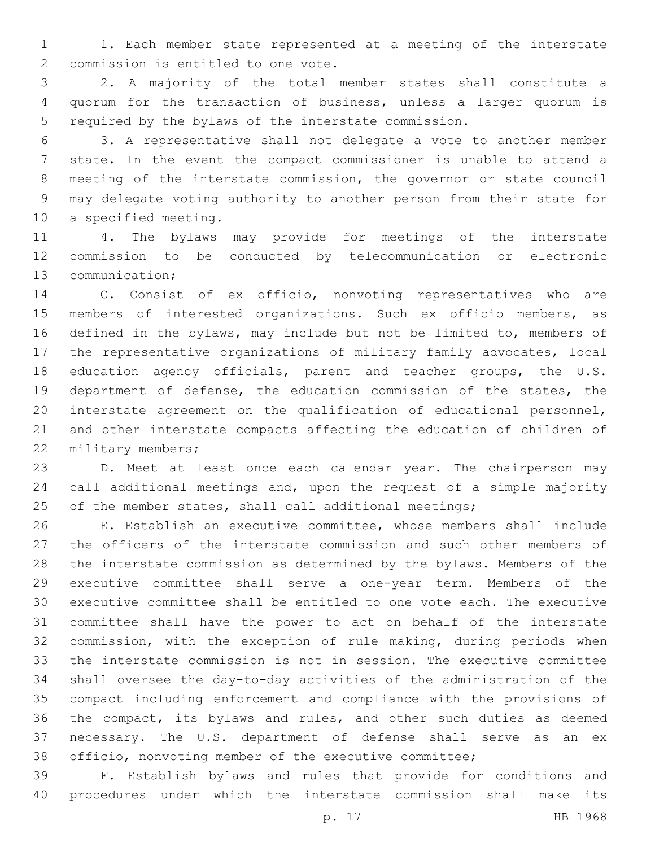1. Each member state represented at a meeting of the interstate 2 commission is entitled to one vote.

 2. A majority of the total member states shall constitute a quorum for the transaction of business, unless a larger quorum is required by the bylaws of the interstate commission.

 3. A representative shall not delegate a vote to another member state. In the event the compact commissioner is unable to attend a meeting of the interstate commission, the governor or state council may delegate voting authority to another person from their state for 10 a specified meeting.

 4. The bylaws may provide for meetings of the interstate commission to be conducted by telecommunication or electronic 13 communication;

 C. Consist of ex officio, nonvoting representatives who are members of interested organizations. Such ex officio members, as defined in the bylaws, may include but not be limited to, members of the representative organizations of military family advocates, local education agency officials, parent and teacher groups, the U.S. department of defense, the education commission of the states, the interstate agreement on the qualification of educational personnel, and other interstate compacts affecting the education of children of 22 military members;

 D. Meet at least once each calendar year. The chairperson may call additional meetings and, upon the request of a simple majority 25 of the member states, shall call additional meetings;

 E. Establish an executive committee, whose members shall include the officers of the interstate commission and such other members of the interstate commission as determined by the bylaws. Members of the executive committee shall serve a one-year term. Members of the executive committee shall be entitled to one vote each. The executive committee shall have the power to act on behalf of the interstate commission, with the exception of rule making, during periods when the interstate commission is not in session. The executive committee shall oversee the day-to-day activities of the administration of the compact including enforcement and compliance with the provisions of the compact, its bylaws and rules, and other such duties as deemed necessary. The U.S. department of defense shall serve as an ex officio, nonvoting member of the executive committee;

 F. Establish bylaws and rules that provide for conditions and procedures under which the interstate commission shall make its

p. 17 HB 1968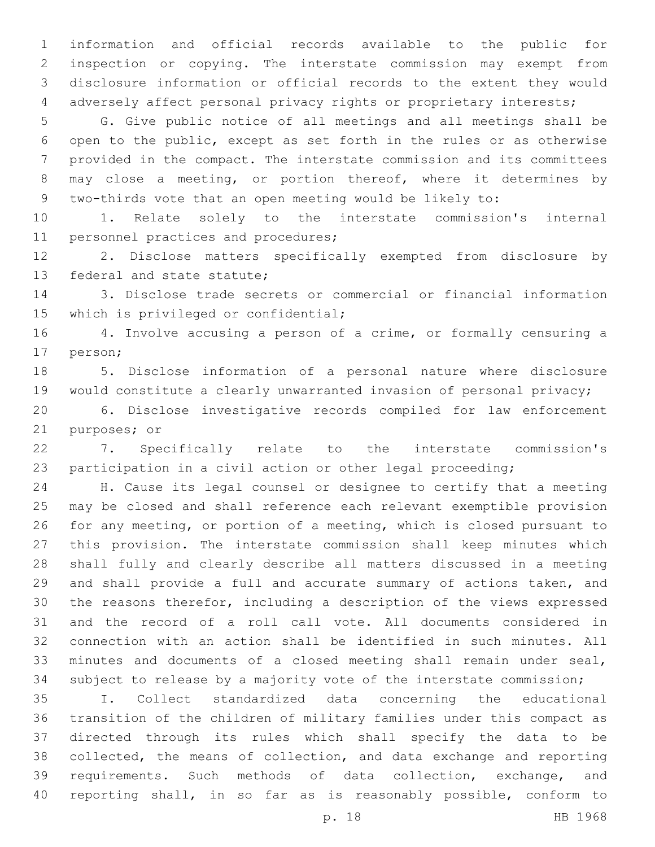information and official records available to the public for inspection or copying. The interstate commission may exempt from disclosure information or official records to the extent they would adversely affect personal privacy rights or proprietary interests;

 G. Give public notice of all meetings and all meetings shall be open to the public, except as set forth in the rules or as otherwise provided in the compact. The interstate commission and its committees may close a meeting, or portion thereof, where it determines by two-thirds vote that an open meeting would be likely to:

 1. Relate solely to the interstate commission's internal 11 personnel practices and procedures;

 2. Disclose matters specifically exempted from disclosure by 13 federal and state statute;

 3. Disclose trade secrets or commercial or financial information 15 which is privileged or confidential;

 4. Involve accusing a person of a crime, or formally censuring a 17 person;

 5. Disclose information of a personal nature where disclosure would constitute a clearly unwarranted invasion of personal privacy;

 6. Disclose investigative records compiled for law enforcement 21 purposes; or

 7. Specifically relate to the interstate commission's participation in a civil action or other legal proceeding;

 H. Cause its legal counsel or designee to certify that a meeting may be closed and shall reference each relevant exemptible provision for any meeting, or portion of a meeting, which is closed pursuant to this provision. The interstate commission shall keep minutes which shall fully and clearly describe all matters discussed in a meeting and shall provide a full and accurate summary of actions taken, and the reasons therefor, including a description of the views expressed and the record of a roll call vote. All documents considered in connection with an action shall be identified in such minutes. All minutes and documents of a closed meeting shall remain under seal, subject to release by a majority vote of the interstate commission;

 I. Collect standardized data concerning the educational transition of the children of military families under this compact as directed through its rules which shall specify the data to be collected, the means of collection, and data exchange and reporting requirements. Such methods of data collection, exchange, and reporting shall, in so far as is reasonably possible, conform to

p. 18 HB 1968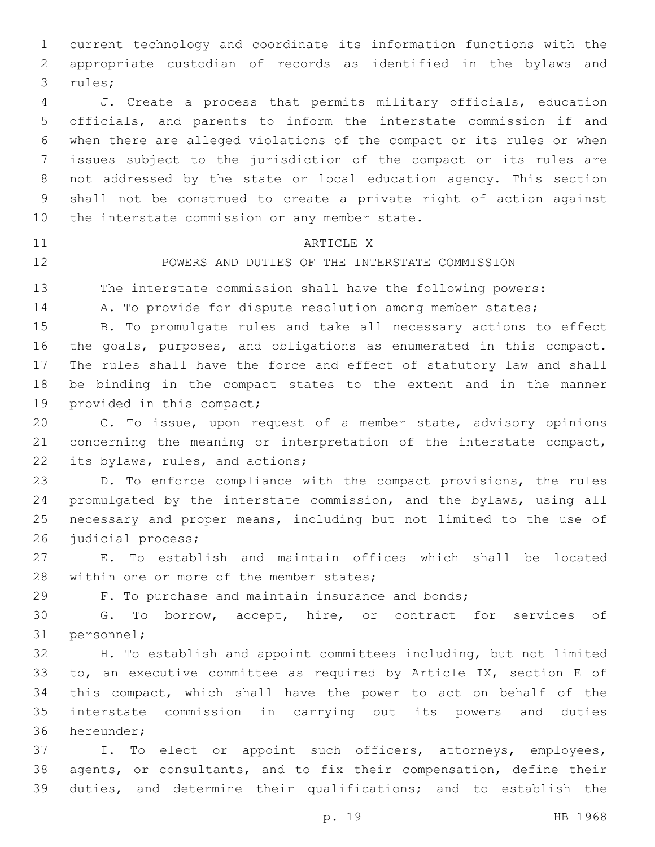current technology and coordinate its information functions with the appropriate custodian of records as identified in the bylaws and 3 rules;

 J. Create a process that permits military officials, education officials, and parents to inform the interstate commission if and when there are alleged violations of the compact or its rules or when issues subject to the jurisdiction of the compact or its rules are not addressed by the state or local education agency. This section shall not be construed to create a private right of action against 10 the interstate commission or any member state.

### 11 ARTICLE X

POWERS AND DUTIES OF THE INTERSTATE COMMISSION

The interstate commission shall have the following powers:

14 A. To provide for dispute resolution among member states;

 B. To promulgate rules and take all necessary actions to effect the goals, purposes, and obligations as enumerated in this compact. The rules shall have the force and effect of statutory law and shall be binding in the compact states to the extent and in the manner 19 provided in this compact;

 C. To issue, upon request of a member state, advisory opinions concerning the meaning or interpretation of the interstate compact, 22 its bylaws, rules, and actions;

 D. To enforce compliance with the compact provisions, the rules promulgated by the interstate commission, and the bylaws, using all necessary and proper means, including but not limited to the use of 26 judicial process;

 E. To establish and maintain offices which shall be located 28 within one or more of the member states;

F. To purchase and maintain insurance and bonds;

 G. To borrow, accept, hire, or contract for services of 31 personnel;

 H. To establish and appoint committees including, but not limited to, an executive committee as required by Article IX, section E of this compact, which shall have the power to act on behalf of the interstate commission in carrying out its powers and duties 36 hereunder;

 I. To elect or appoint such officers, attorneys, employees, agents, or consultants, and to fix their compensation, define their duties, and determine their qualifications; and to establish the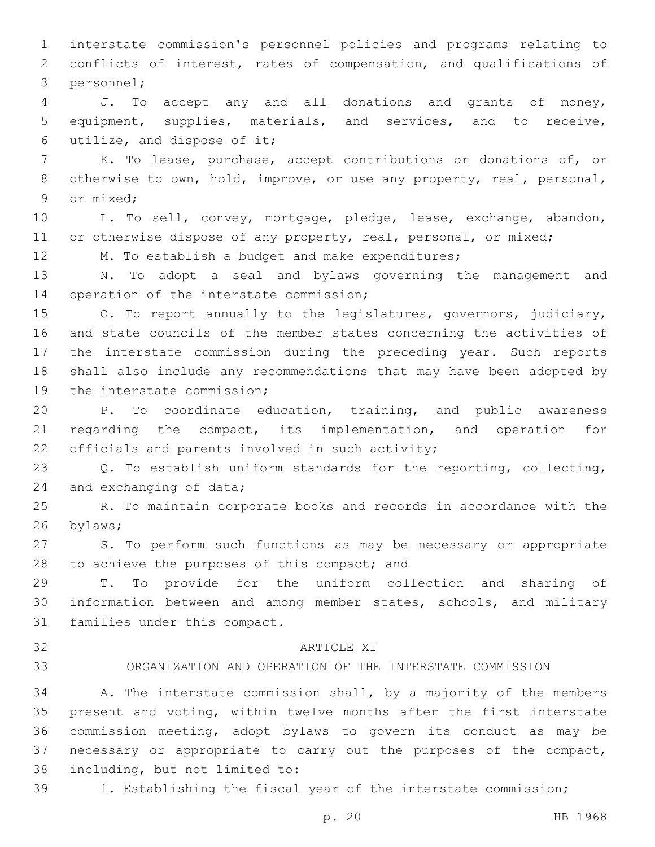interstate commission's personnel policies and programs relating to conflicts of interest, rates of compensation, and qualifications of 3 personnel;

 J. To accept any and all donations and grants of money, equipment, supplies, materials, and services, and to receive, 6 utilize, and dispose of it;

 K. To lease, purchase, accept contributions or donations of, or otherwise to own, hold, improve, or use any property, real, personal, 9 or mixed:

 L. To sell, convey, mortgage, pledge, lease, exchange, abandon, 11 or otherwise dispose of any property, real, personal, or mixed;

M. To establish a budget and make expenditures;

 N. To adopt a seal and bylaws governing the management and 14 operation of the interstate commission;

 O. To report annually to the legislatures, governors, judiciary, and state councils of the member states concerning the activities of the interstate commission during the preceding year. Such reports shall also include any recommendations that may have been adopted by 19 the interstate commission;

 P. To coordinate education, training, and public awareness regarding the compact, its implementation, and operation for 22 officials and parents involved in such activity;

 Q. To establish uniform standards for the reporting, collecting, 24 and exchanging of data;

 R. To maintain corporate books and records in accordance with the 26 bylaws;

 S. To perform such functions as may be necessary or appropriate 28 to achieve the purposes of this compact; and

 T. To provide for the uniform collection and sharing of information between and among member states, schools, and military 31 families under this compact.

### 32 ARTICLE XI

# ORGANIZATION AND OPERATION OF THE INTERSTATE COMMISSION

 A. The interstate commission shall, by a majority of the members present and voting, within twelve months after the first interstate commission meeting, adopt bylaws to govern its conduct as may be necessary or appropriate to carry out the purposes of the compact, 38 including, but not limited to:

1. Establishing the fiscal year of the interstate commission;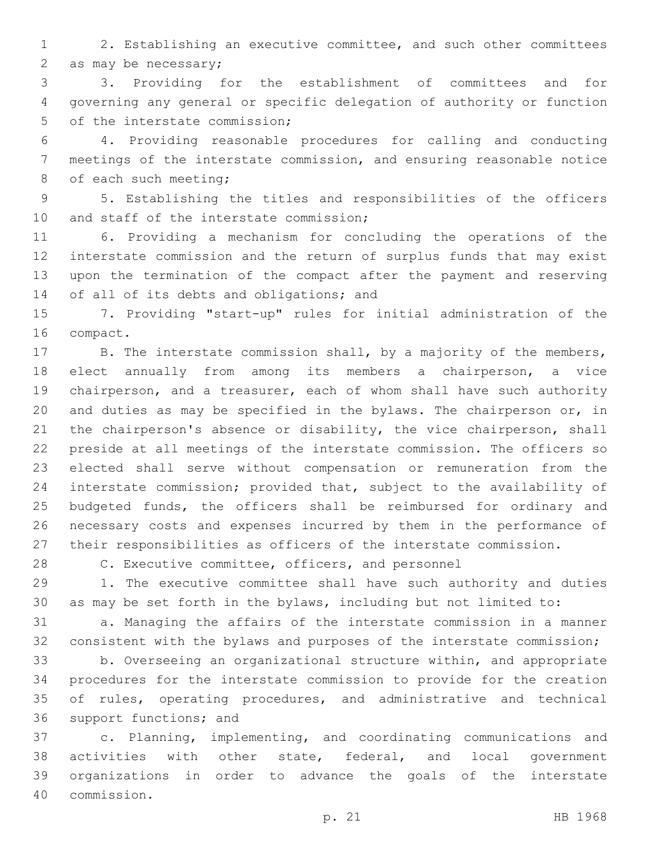2. Establishing an executive committee, and such other committees 2 as may be necessary;

 3. Providing for the establishment of committees and for governing any general or specific delegation of authority or function 5 of the interstate commission;

 4. Providing reasonable procedures for calling and conducting meetings of the interstate commission, and ensuring reasonable notice 8 of each such meeting;

 5. Establishing the titles and responsibilities of the officers 10 and staff of the interstate commission;

 6. Providing a mechanism for concluding the operations of the interstate commission and the return of surplus funds that may exist upon the termination of the compact after the payment and reserving 14 of all of its debts and obligations; and

 7. Providing "start-up" rules for initial administration of the 16 compact.

17 B. The interstate commission shall, by a majority of the members, elect annually from among its members a chairperson, a vice chairperson, and a treasurer, each of whom shall have such authority and duties as may be specified in the bylaws. The chairperson or, in the chairperson's absence or disability, the vice chairperson, shall preside at all meetings of the interstate commission. The officers so elected shall serve without compensation or remuneration from the interstate commission; provided that, subject to the availability of budgeted funds, the officers shall be reimbursed for ordinary and necessary costs and expenses incurred by them in the performance of their responsibilities as officers of the interstate commission.

C. Executive committee, officers, and personnel

 1. The executive committee shall have such authority and duties as may be set forth in the bylaws, including but not limited to:

 a. Managing the affairs of the interstate commission in a manner consistent with the bylaws and purposes of the interstate commission;

 b. Overseeing an organizational structure within, and appropriate procedures for the interstate commission to provide for the creation of rules, operating procedures, and administrative and technical 36 support functions; and

 c. Planning, implementing, and coordinating communications and activities with other state, federal, and local government organizations in order to advance the goals of the interstate commission.40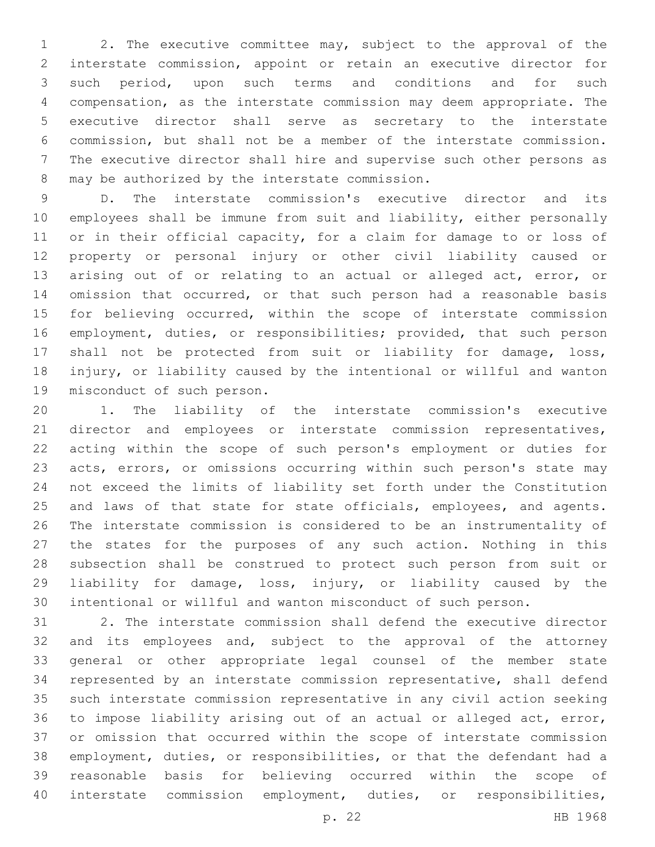2. The executive committee may, subject to the approval of the interstate commission, appoint or retain an executive director for such period, upon such terms and conditions and for such compensation, as the interstate commission may deem appropriate. The executive director shall serve as secretary to the interstate commission, but shall not be a member of the interstate commission. The executive director shall hire and supervise such other persons as 8 may be authorized by the interstate commission.

 D. The interstate commission's executive director and its employees shall be immune from suit and liability, either personally 11 or in their official capacity, for a claim for damage to or loss of property or personal injury or other civil liability caused or arising out of or relating to an actual or alleged act, error, or omission that occurred, or that such person had a reasonable basis for believing occurred, within the scope of interstate commission employment, duties, or responsibilities; provided, that such person shall not be protected from suit or liability for damage, loss, injury, or liability caused by the intentional or willful and wanton 19 misconduct of such person.

 1. The liability of the interstate commission's executive 21 director and employees or interstate commission representatives, acting within the scope of such person's employment or duties for acts, errors, or omissions occurring within such person's state may not exceed the limits of liability set forth under the Constitution 25 and laws of that state for state officials, employees, and agents. The interstate commission is considered to be an instrumentality of the states for the purposes of any such action. Nothing in this subsection shall be construed to protect such person from suit or liability for damage, loss, injury, or liability caused by the intentional or willful and wanton misconduct of such person.

 2. The interstate commission shall defend the executive director 32 and its employees and, subject to the approval of the attorney general or other appropriate legal counsel of the member state represented by an interstate commission representative, shall defend such interstate commission representative in any civil action seeking to impose liability arising out of an actual or alleged act, error, or omission that occurred within the scope of interstate commission employment, duties, or responsibilities, or that the defendant had a reasonable basis for believing occurred within the scope of interstate commission employment, duties, or responsibilities,

p. 22 HB 1968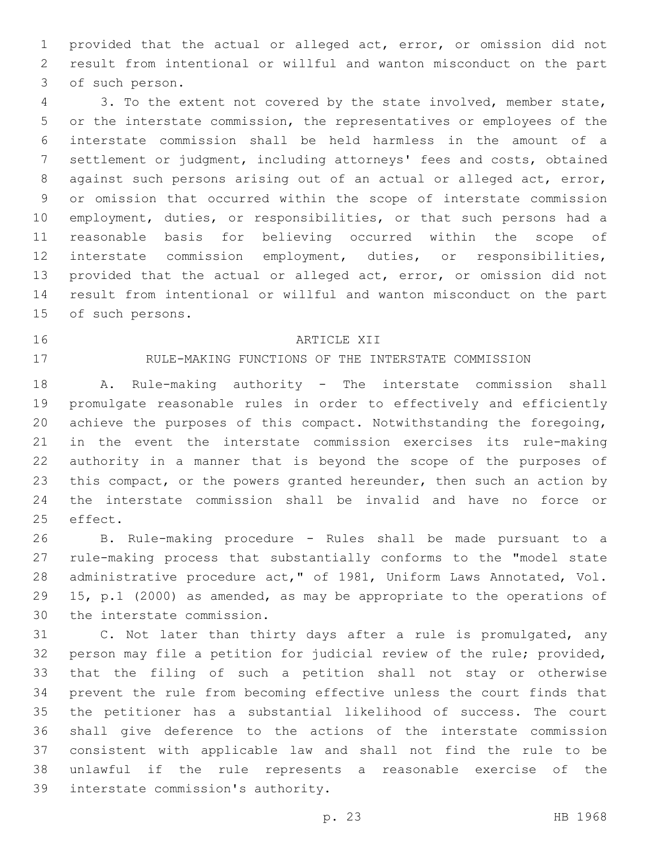provided that the actual or alleged act, error, or omission did not result from intentional or willful and wanton misconduct on the part 3 of such person.

 3. To the extent not covered by the state involved, member state, or the interstate commission, the representatives or employees of the interstate commission shall be held harmless in the amount of a settlement or judgment, including attorneys' fees and costs, obtained against such persons arising out of an actual or alleged act, error, or omission that occurred within the scope of interstate commission employment, duties, or responsibilities, or that such persons had a reasonable basis for believing occurred within the scope of interstate commission employment, duties, or responsibilities, provided that the actual or alleged act, error, or omission did not result from intentional or willful and wanton misconduct on the part 15 of such persons.

#### 16 ARTICLE XII

# RULE-MAKING FUNCTIONS OF THE INTERSTATE COMMISSION

 A. Rule-making authority - The interstate commission shall promulgate reasonable rules in order to effectively and efficiently achieve the purposes of this compact. Notwithstanding the foregoing, in the event the interstate commission exercises its rule-making authority in a manner that is beyond the scope of the purposes of 23 this compact, or the powers granted hereunder, then such an action by the interstate commission shall be invalid and have no force or 25 effect.

 B. Rule-making procedure - Rules shall be made pursuant to a rule-making process that substantially conforms to the "model state administrative procedure act," of 1981, Uniform Laws Annotated, Vol. 15, p.1 (2000) as amended, as may be appropriate to the operations of 30 the interstate commission.

 C. Not later than thirty days after a rule is promulgated, any person may file a petition for judicial review of the rule; provided, that the filing of such a petition shall not stay or otherwise prevent the rule from becoming effective unless the court finds that the petitioner has a substantial likelihood of success. The court shall give deference to the actions of the interstate commission consistent with applicable law and shall not find the rule to be unlawful if the rule represents a reasonable exercise of the 39 interstate commission's authority.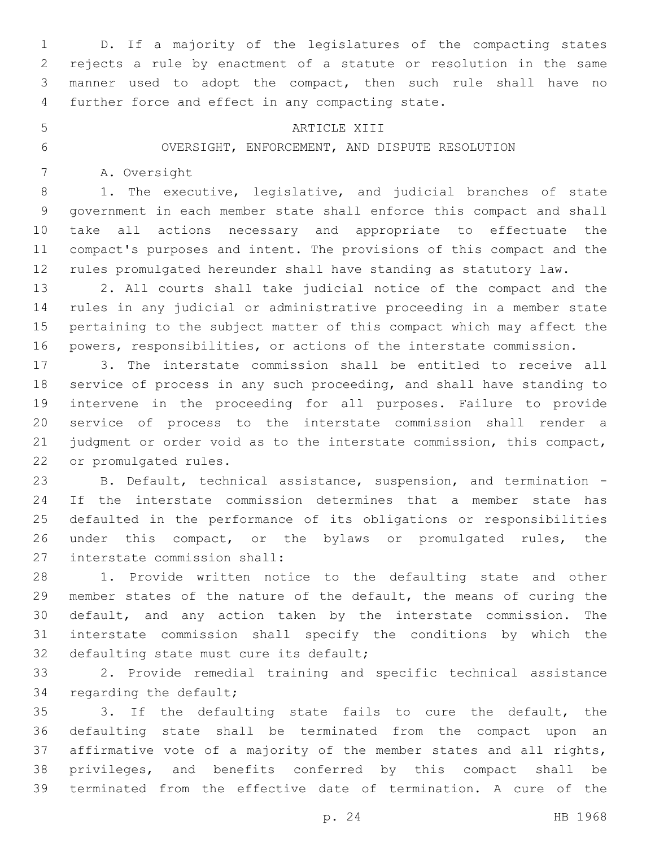D. If a majority of the legislatures of the compacting states rejects a rule by enactment of a statute or resolution in the same manner used to adopt the compact, then such rule shall have no 4 further force and effect in any compacting state.

#### 5 ARTICLE XIII

OVERSIGHT, ENFORCEMENT, AND DISPUTE RESOLUTION

7 A. Oversight

 1. The executive, legislative, and judicial branches of state government in each member state shall enforce this compact and shall take all actions necessary and appropriate to effectuate the compact's purposes and intent. The provisions of this compact and the rules promulgated hereunder shall have standing as statutory law.

 2. All courts shall take judicial notice of the compact and the rules in any judicial or administrative proceeding in a member state pertaining to the subject matter of this compact which may affect the powers, responsibilities, or actions of the interstate commission.

 3. The interstate commission shall be entitled to receive all service of process in any such proceeding, and shall have standing to intervene in the proceeding for all purposes. Failure to provide service of process to the interstate commission shall render a judgment or order void as to the interstate commission, this compact, 22 or promulgated rules.

 B. Default, technical assistance, suspension, and termination - If the interstate commission determines that a member state has defaulted in the performance of its obligations or responsibilities under this compact, or the bylaws or promulgated rules, the 27 interstate commission shall:

 1. Provide written notice to the defaulting state and other member states of the nature of the default, the means of curing the default, and any action taken by the interstate commission. The interstate commission shall specify the conditions by which the 32 defaulting state must cure its default;

 2. Provide remedial training and specific technical assistance 34 regarding the default;

 3. If the defaulting state fails to cure the default, the defaulting state shall be terminated from the compact upon an affirmative vote of a majority of the member states and all rights, privileges, and benefits conferred by this compact shall be terminated from the effective date of termination. A cure of the

p. 24 HB 1968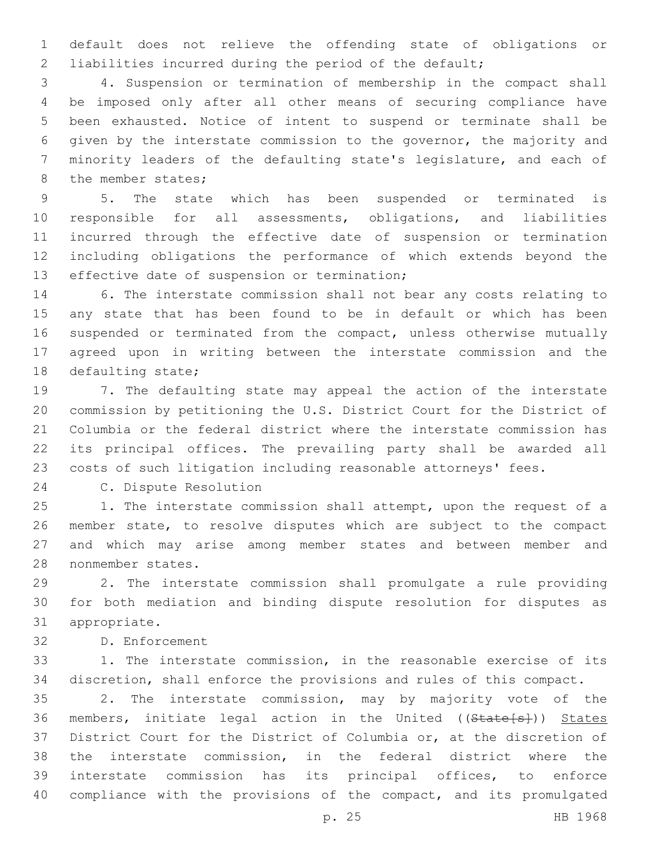default does not relieve the offending state of obligations or liabilities incurred during the period of the default;

 4. Suspension or termination of membership in the compact shall be imposed only after all other means of securing compliance have been exhausted. Notice of intent to suspend or terminate shall be given by the interstate commission to the governor, the majority and minority leaders of the defaulting state's legislature, and each of 8 the member states;

 5. The state which has been suspended or terminated is responsible for all assessments, obligations, and liabilities incurred through the effective date of suspension or termination including obligations the performance of which extends beyond the 13 effective date of suspension or termination;

 6. The interstate commission shall not bear any costs relating to any state that has been found to be in default or which has been 16 suspended or terminated from the compact, unless otherwise mutually agreed upon in writing between the interstate commission and the 18 defaulting state;

 7. The defaulting state may appeal the action of the interstate commission by petitioning the U.S. District Court for the District of Columbia or the federal district where the interstate commission has its principal offices. The prevailing party shall be awarded all costs of such litigation including reasonable attorneys' fees.

24 C. Dispute Resolution

25 1. The interstate commission shall attempt, upon the request of a member state, to resolve disputes which are subject to the compact and which may arise among member states and between member and 28 nonmember states.

 2. The interstate commission shall promulgate a rule providing for both mediation and binding dispute resolution for disputes as 31 appropriate.

32 D. Enforcement

 1. The interstate commission, in the reasonable exercise of its discretion, shall enforce the provisions and rules of this compact.

 2. The interstate commission, may by majority vote of the 36 members, initiate legal action in the United ((State[s])) States District Court for the District of Columbia or, at the discretion of the interstate commission, in the federal district where the interstate commission has its principal offices, to enforce 40 compliance with the provisions of the compact, and its promulgated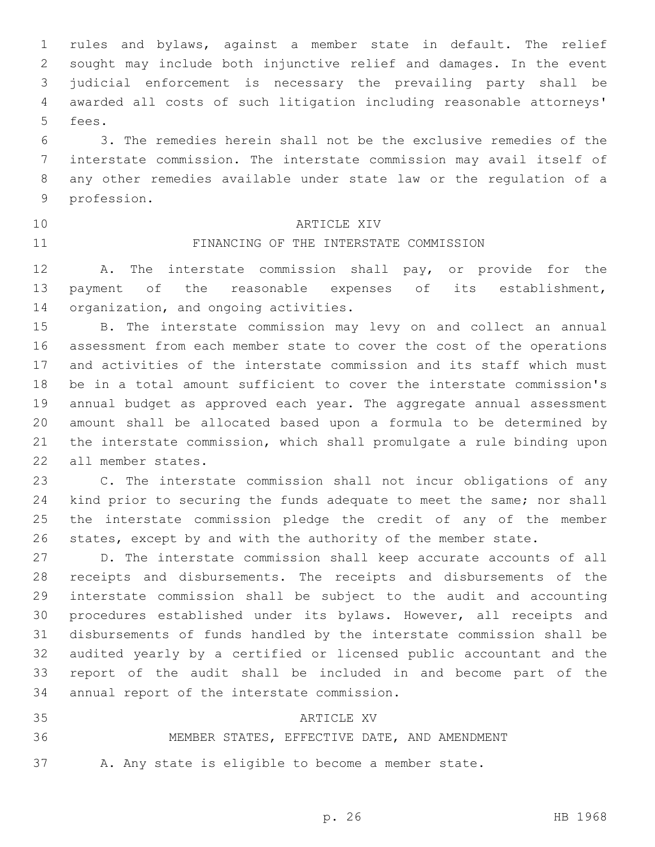rules and bylaws, against a member state in default. The relief sought may include both injunctive relief and damages. In the event judicial enforcement is necessary the prevailing party shall be awarded all costs of such litigation including reasonable attorneys' 5 fees.

 3. The remedies herein shall not be the exclusive remedies of the interstate commission. The interstate commission may avail itself of any other remedies available under state law or the regulation of a 9 profession.

- 
- 

# 10 ARTICLE XIV

# FINANCING OF THE INTERSTATE COMMISSION

 A. The interstate commission shall pay, or provide for the payment of the reasonable expenses of its establishment, 14 organization, and ongoing activities.

 B. The interstate commission may levy on and collect an annual assessment from each member state to cover the cost of the operations and activities of the interstate commission and its staff which must be in a total amount sufficient to cover the interstate commission's annual budget as approved each year. The aggregate annual assessment amount shall be allocated based upon a formula to be determined by the interstate commission, which shall promulgate a rule binding upon 22 all member states.

 C. The interstate commission shall not incur obligations of any kind prior to securing the funds adequate to meet the same; nor shall the interstate commission pledge the credit of any of the member states, except by and with the authority of the member state.

 D. The interstate commission shall keep accurate accounts of all receipts and disbursements. The receipts and disbursements of the interstate commission shall be subject to the audit and accounting procedures established under its bylaws. However, all receipts and disbursements of funds handled by the interstate commission shall be audited yearly by a certified or licensed public accountant and the report of the audit shall be included in and become part of the 34 annual report of the interstate commission.

35 ARTICLE AND ARTICLE AVE MEMBER STATES, EFFECTIVE DATE, AND AMENDMENT A. Any state is eligible to become a member state.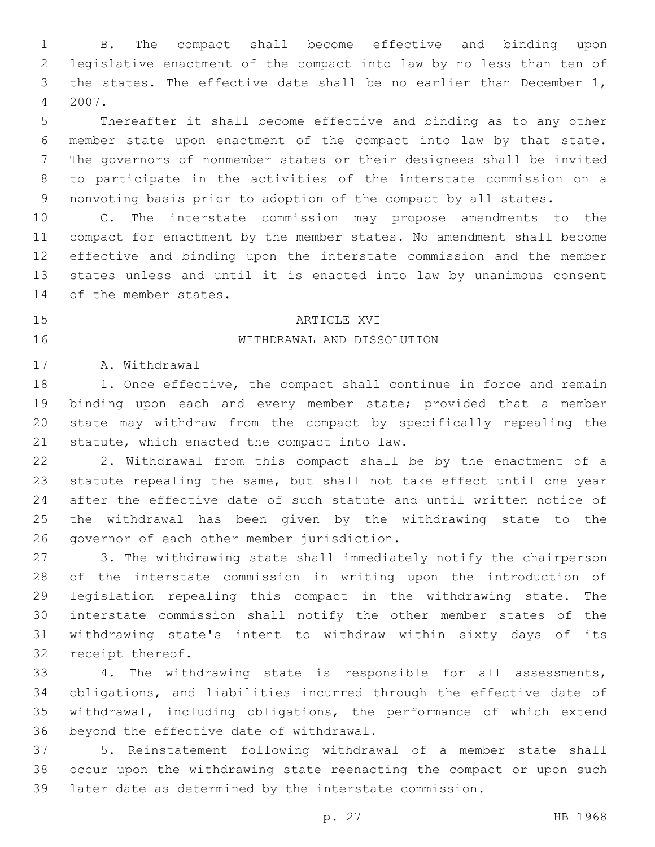B. The compact shall become effective and binding upon legislative enactment of the compact into law by no less than ten of the states. The effective date shall be no earlier than December 1, 2007.4

 Thereafter it shall become effective and binding as to any other member state upon enactment of the compact into law by that state. The governors of nonmember states or their designees shall be invited to participate in the activities of the interstate commission on a nonvoting basis prior to adoption of the compact by all states.

 C. The interstate commission may propose amendments to the compact for enactment by the member states. No amendment shall become effective and binding upon the interstate commission and the member states unless and until it is enacted into law by unanimous consent 14 of the member states.

#### 15 ARTICLE AND ARTICLE AVI

## WITHDRAWAL AND DISSOLUTION16

17 A. Withdrawal

18 1. Once effective, the compact shall continue in force and remain binding upon each and every member state; provided that a member state may withdraw from the compact by specifically repealing the 21 statute, which enacted the compact into law.

 2. Withdrawal from this compact shall be by the enactment of a statute repealing the same, but shall not take effect until one year after the effective date of such statute and until written notice of the withdrawal has been given by the withdrawing state to the 26 governor of each other member jurisdiction.

 3. The withdrawing state shall immediately notify the chairperson of the interstate commission in writing upon the introduction of legislation repealing this compact in the withdrawing state. The interstate commission shall notify the other member states of the withdrawing state's intent to withdraw within sixty days of its 32 receipt thereof.

 4. The withdrawing state is responsible for all assessments, obligations, and liabilities incurred through the effective date of withdrawal, including obligations, the performance of which extend 36 beyond the effective date of withdrawal.

 5. Reinstatement following withdrawal of a member state shall occur upon the withdrawing state reenacting the compact or upon such later date as determined by the interstate commission.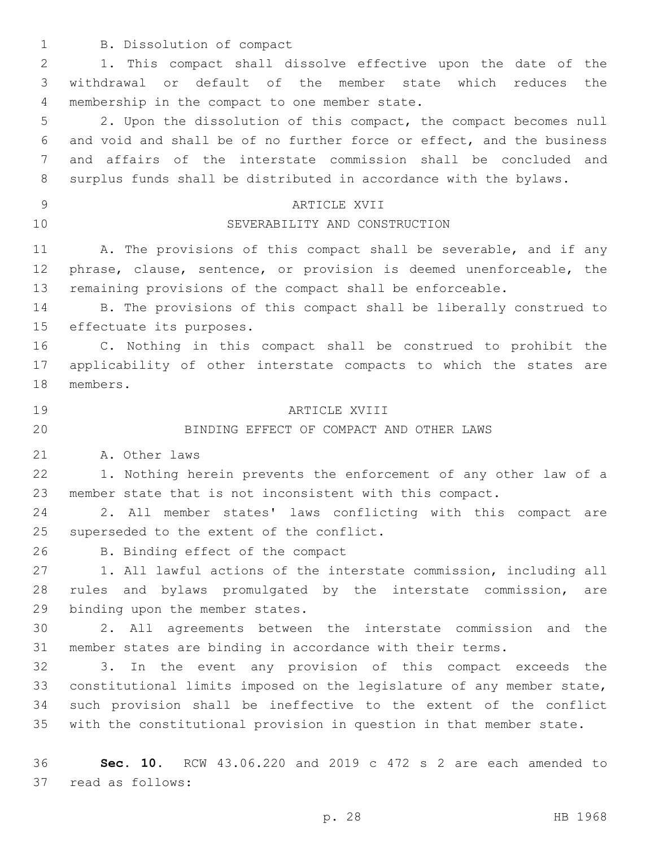1 B. Dissolution of compact

 1. This compact shall dissolve effective upon the date of the withdrawal or default of the member state which reduces the 4 membership in the compact to one member state.

 2. Upon the dissolution of this compact, the compact becomes null and void and shall be of no further force or effect, and the business and affairs of the interstate commission shall be concluded and surplus funds shall be distributed in accordance with the bylaws.

### 9 ARTICLE XVII

# 10 SEVERABILITY AND CONSTRUCTION

11 A. The provisions of this compact shall be severable, and if any phrase, clause, sentence, or provision is deemed unenforceable, the remaining provisions of the compact shall be enforceable.

 B. The provisions of this compact shall be liberally construed to 15 effectuate its purposes.

 C. Nothing in this compact shall be construed to prohibit the applicability of other interstate compacts to which the states are 18 members.

#### ARTICLE XVIII19

# BINDING EFFECT OF COMPACT AND OTHER LAWS

21 A. Other laws

 1. Nothing herein prevents the enforcement of any other law of a member state that is not inconsistent with this compact.

 2. All member states' laws conflicting with this compact are 25 superseded to the extent of the conflict.

26 B. Binding effect of the compact

 1. All lawful actions of the interstate commission, including all rules and bylaws promulgated by the interstate commission, are 29 binding upon the member states.

 2. All agreements between the interstate commission and the member states are binding in accordance with their terms.

 3. In the event any provision of this compact exceeds the constitutional limits imposed on the legislature of any member state, such provision shall be ineffective to the extent of the conflict with the constitutional provision in question in that member state.

 **Sec. 10.** RCW 43.06.220 and 2019 c 472 s 2 are each amended to 37 read as follows: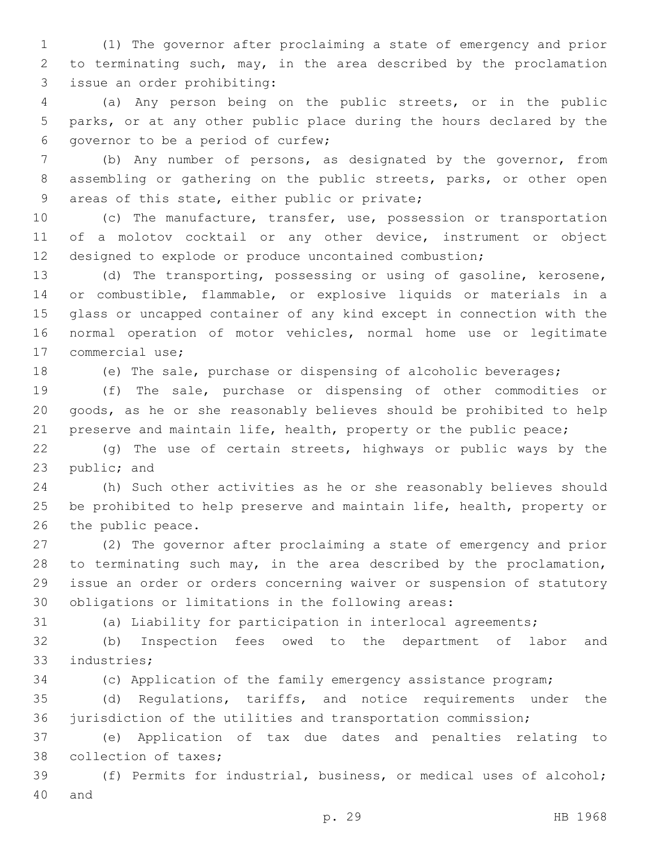(1) The governor after proclaiming a state of emergency and prior to terminating such, may, in the area described by the proclamation issue an order prohibiting:3

 (a) Any person being on the public streets, or in the public parks, or at any other public place during the hours declared by the 6 governor to be a period of curfew;

 (b) Any number of persons, as designated by the governor, from assembling or gathering on the public streets, parks, or other open 9 areas of this state, either public or private;

 (c) The manufacture, transfer, use, possession or transportation of a molotov cocktail or any other device, instrument or object designed to explode or produce uncontained combustion;

 (d) The transporting, possessing or using of gasoline, kerosene, or combustible, flammable, or explosive liquids or materials in a glass or uncapped container of any kind except in connection with the normal operation of motor vehicles, normal home use or legitimate 17 commercial use;

(e) The sale, purchase or dispensing of alcoholic beverages;

 (f) The sale, purchase or dispensing of other commodities or goods, as he or she reasonably believes should be prohibited to help 21 preserve and maintain life, health, property or the public peace;

 (g) The use of certain streets, highways or public ways by the 23 public; and

 (h) Such other activities as he or she reasonably believes should be prohibited to help preserve and maintain life, health, property or 26 the public peace.

 (2) The governor after proclaiming a state of emergency and prior 28 to terminating such may, in the area described by the proclamation, issue an order or orders concerning waiver or suspension of statutory obligations or limitations in the following areas:

(a) Liability for participation in interlocal agreements;

 (b) Inspection fees owed to the department of labor and 33 industries;

(c) Application of the family emergency assistance program;

 (d) Regulations, tariffs, and notice requirements under the jurisdiction of the utilities and transportation commission;

 (e) Application of tax due dates and penalties relating to 38 collection of taxes;

 (f) Permits for industrial, business, or medical uses of alcohol; 40 and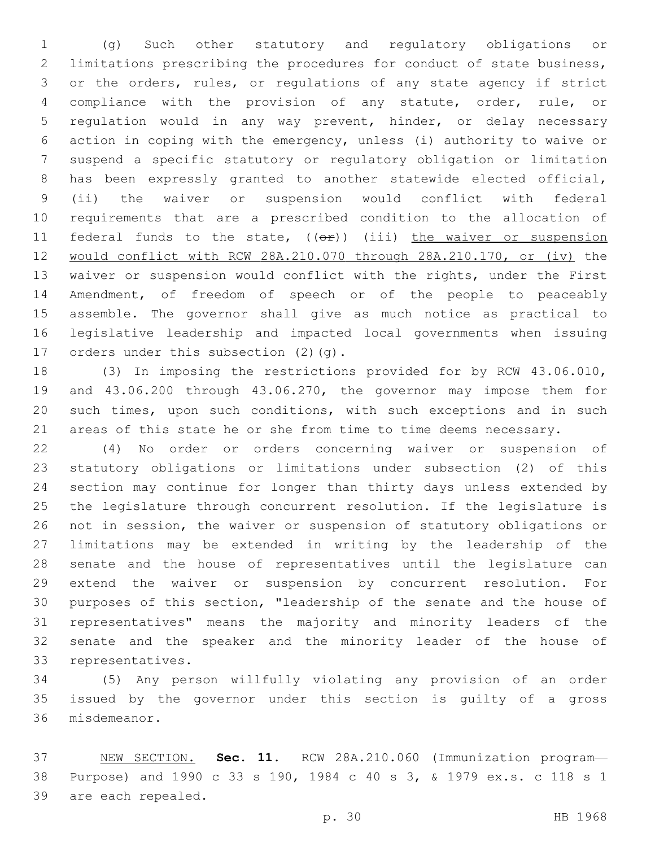(g) Such other statutory and regulatory obligations or limitations prescribing the procedures for conduct of state business, or the orders, rules, or regulations of any state agency if strict compliance with the provision of any statute, order, rule, or regulation would in any way prevent, hinder, or delay necessary action in coping with the emergency, unless (i) authority to waive or suspend a specific statutory or regulatory obligation or limitation has been expressly granted to another statewide elected official, (ii) the waiver or suspension would conflict with federal requirements that are a prescribed condition to the allocation of 11 federal funds to the state,  $($   $($ o $)$ )  $($ iii) the waiver or suspension would conflict with RCW 28A.210.070 through 28A.210.170, or (iv) the waiver or suspension would conflict with the rights, under the First Amendment, of freedom of speech or of the people to peaceably assemble. The governor shall give as much notice as practical to legislative leadership and impacted local governments when issuing 17 orders under this subsection (2)(q).

 (3) In imposing the restrictions provided for by RCW 43.06.010, and 43.06.200 through 43.06.270, the governor may impose them for such times, upon such conditions, with such exceptions and in such areas of this state he or she from time to time deems necessary.

 (4) No order or orders concerning waiver or suspension of statutory obligations or limitations under subsection (2) of this section may continue for longer than thirty days unless extended by the legislature through concurrent resolution. If the legislature is not in session, the waiver or suspension of statutory obligations or limitations may be extended in writing by the leadership of the senate and the house of representatives until the legislature can extend the waiver or suspension by concurrent resolution. For purposes of this section, "leadership of the senate and the house of representatives" means the majority and minority leaders of the senate and the speaker and the minority leader of the house of 33 representatives.

 (5) Any person willfully violating any provision of an order issued by the governor under this section is guilty of a gross 36 misdemeanor.

 NEW SECTION. **Sec. 11.** RCW 28A.210.060 (Immunization program— Purpose) and 1990 c 33 s 190, 1984 c 40 s 3, & 1979 ex.s. c 118 s 1 are each repealed.